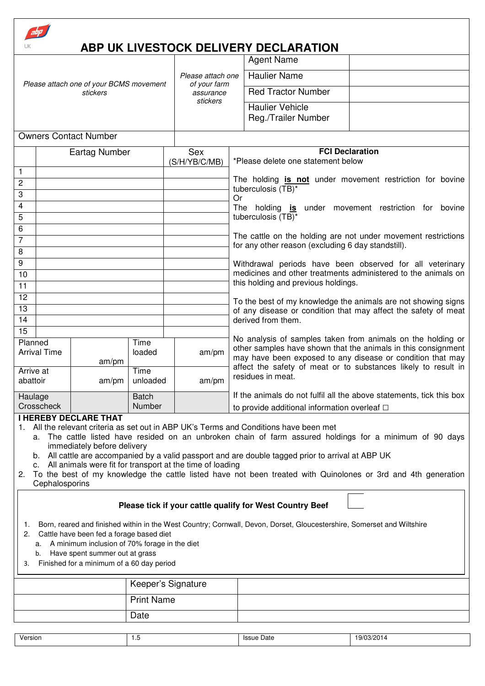|                                                                                                                                                                                                                                                                                                                                                                                                                                                                                                                                                                                  |                      |                   |                                                          | ABP UK LIVESTOCK DELIVERY DECLARATION                                                                                                                                                         |                                                             |  |  |  |
|----------------------------------------------------------------------------------------------------------------------------------------------------------------------------------------------------------------------------------------------------------------------------------------------------------------------------------------------------------------------------------------------------------------------------------------------------------------------------------------------------------------------------------------------------------------------------------|----------------------|-------------------|----------------------------------------------------------|-----------------------------------------------------------------------------------------------------------------------------------------------------------------------------------------------|-------------------------------------------------------------|--|--|--|
|                                                                                                                                                                                                                                                                                                                                                                                                                                                                                                                                                                                  |                      |                   |                                                          | <b>Agent Name</b>                                                                                                                                                                             |                                                             |  |  |  |
| Please attach one of your BCMS movement<br>stickers                                                                                                                                                                                                                                                                                                                                                                                                                                                                                                                              |                      |                   | Please attach one                                        | <b>Haulier Name</b>                                                                                                                                                                           |                                                             |  |  |  |
|                                                                                                                                                                                                                                                                                                                                                                                                                                                                                                                                                                                  |                      |                   | of your farm<br>assurance                                | <b>Red Tractor Number</b>                                                                                                                                                                     |                                                             |  |  |  |
|                                                                                                                                                                                                                                                                                                                                                                                                                                                                                                                                                                                  |                      |                   | stickers                                                 | <b>Haulier Vehicle</b><br>Reg./Trailer Number                                                                                                                                                 |                                                             |  |  |  |
| <b>Owners Contact Number</b>                                                                                                                                                                                                                                                                                                                                                                                                                                                                                                                                                     |                      |                   |                                                          |                                                                                                                                                                                               |                                                             |  |  |  |
| <b>Eartag Number</b>                                                                                                                                                                                                                                                                                                                                                                                                                                                                                                                                                             |                      |                   | Sex                                                      |                                                                                                                                                                                               | <b>FCI Declaration</b>                                      |  |  |  |
|                                                                                                                                                                                                                                                                                                                                                                                                                                                                                                                                                                                  |                      |                   | (S/H/YB/C/MB)                                            | *Please delete one statement below                                                                                                                                                            |                                                             |  |  |  |
| 1<br>$\overline{c}$                                                                                                                                                                                                                                                                                                                                                                                                                                                                                                                                                              |                      |                   |                                                          | The holding is not under movement restriction for bovine                                                                                                                                      |                                                             |  |  |  |
| 3                                                                                                                                                                                                                                                                                                                                                                                                                                                                                                                                                                                |                      |                   |                                                          | tuberculosis (TB)*<br>Or                                                                                                                                                                      |                                                             |  |  |  |
| 4                                                                                                                                                                                                                                                                                                                                                                                                                                                                                                                                                                                |                      |                   |                                                          | The holding is under movement restriction for bovine                                                                                                                                          |                                                             |  |  |  |
| 5                                                                                                                                                                                                                                                                                                                                                                                                                                                                                                                                                                                |                      |                   |                                                          | tuberculosis (TB)*                                                                                                                                                                            |                                                             |  |  |  |
| 7                                                                                                                                                                                                                                                                                                                                                                                                                                                                                                                                                                                | 6                    |                   |                                                          | The cattle on the holding are not under movement restrictions                                                                                                                                 |                                                             |  |  |  |
| 8                                                                                                                                                                                                                                                                                                                                                                                                                                                                                                                                                                                |                      |                   |                                                          | for any other reason (excluding 6 day standstill).                                                                                                                                            |                                                             |  |  |  |
| 9                                                                                                                                                                                                                                                                                                                                                                                                                                                                                                                                                                                |                      |                   | Withdrawal periods have been observed for all veterinary |                                                                                                                                                                                               |                                                             |  |  |  |
| 10                                                                                                                                                                                                                                                                                                                                                                                                                                                                                                                                                                               |                      |                   |                                                          | medicines and other treatments administered to the animals on<br>this holding and previous holdings.                                                                                          |                                                             |  |  |  |
| 11<br>12                                                                                                                                                                                                                                                                                                                                                                                                                                                                                                                                                                         |                      |                   |                                                          |                                                                                                                                                                                               |                                                             |  |  |  |
| 13                                                                                                                                                                                                                                                                                                                                                                                                                                                                                                                                                                               |                      |                   |                                                          | To the best of my knowledge the animals are not showing signs<br>of any disease or condition that may affect the safety of meat                                                               |                                                             |  |  |  |
| 14                                                                                                                                                                                                                                                                                                                                                                                                                                                                                                                                                                               |                      |                   |                                                          | derived from them.                                                                                                                                                                            |                                                             |  |  |  |
| $\overline{15}$                                                                                                                                                                                                                                                                                                                                                                                                                                                                                                                                                                  |                      |                   |                                                          |                                                                                                                                                                                               | No analysis of samples taken from animals on the holding or |  |  |  |
| Planned<br><b>Arrival Time</b>                                                                                                                                                                                                                                                                                                                                                                                                                                                                                                                                                   | am/m                 | Time<br>loaded    | am/pm                                                    | other samples have shown that the animals in this consignment<br>may have been exposed to any disease or condition that may<br>affect the safety of meat or to substances likely to result in |                                                             |  |  |  |
| Arrive at<br>abattoir                                                                                                                                                                                                                                                                                                                                                                                                                                                                                                                                                            | am/pm                | Time<br>unloaded  | am/pm                                                    | residues in meat.                                                                                                                                                                             |                                                             |  |  |  |
| Haulage                                                                                                                                                                                                                                                                                                                                                                                                                                                                                                                                                                          |                      | <b>Batch</b>      |                                                          | If the animals do not fulfil all the above statements, tick this box                                                                                                                          |                                                             |  |  |  |
|                                                                                                                                                                                                                                                                                                                                                                                                                                                                                                                                                                                  | Crosscheck<br>Number |                   |                                                          |                                                                                                                                                                                               | to provide additional information overleaf $\Box$           |  |  |  |
| <b>I HEREBY DECLARE THAT</b><br>All the relevant criteria as set out in ABP UK's Terms and Conditions have been met<br>The cattle listed have resided on an unbroken chain of farm assured holdings for a minimum of 90 days<br>a.<br>immediately before delivery<br>b. All cattle are accompanied by a valid passport and are double tagged prior to arrival at ABP UK<br>c. All animals were fit for transport at the time of loading<br>To the best of my knowledge the cattle listed have not been treated with Quinolones or 3rd and 4th generation<br>2.<br>Cephalosporins |                      |                   |                                                          |                                                                                                                                                                                               |                                                             |  |  |  |
| Please tick if your cattle qualify for West Country Beef                                                                                                                                                                                                                                                                                                                                                                                                                                                                                                                         |                      |                   |                                                          |                                                                                                                                                                                               |                                                             |  |  |  |
| Born, reared and finished within in the West Country; Cornwall, Devon, Dorset, Gloucestershire, Somerset and Wiltshire<br>1.<br>Cattle have been fed a forage based diet<br>2.<br>a. A minimum inclusion of 70% forage in the diet<br>Have spent summer out at grass<br>b.<br>Finished for a minimum of a 60 day period<br>3.                                                                                                                                                                                                                                                    |                      |                   |                                                          |                                                                                                                                                                                               |                                                             |  |  |  |
| Keeper's Signature                                                                                                                                                                                                                                                                                                                                                                                                                                                                                                                                                               |                      |                   |                                                          |                                                                                                                                                                                               |                                                             |  |  |  |
|                                                                                                                                                                                                                                                                                                                                                                                                                                                                                                                                                                                  |                      | <b>Print Name</b> |                                                          |                                                                                                                                                                                               |                                                             |  |  |  |
|                                                                                                                                                                                                                                                                                                                                                                                                                                                                                                                                                                                  |                      | Date              |                                                          |                                                                                                                                                                                               |                                                             |  |  |  |
| Version                                                                                                                                                                                                                                                                                                                                                                                                                                                                                                                                                                          |                      | 1.5               |                                                          | <b>Issue Date</b>                                                                                                                                                                             | 19/03/2014                                                  |  |  |  |

׀